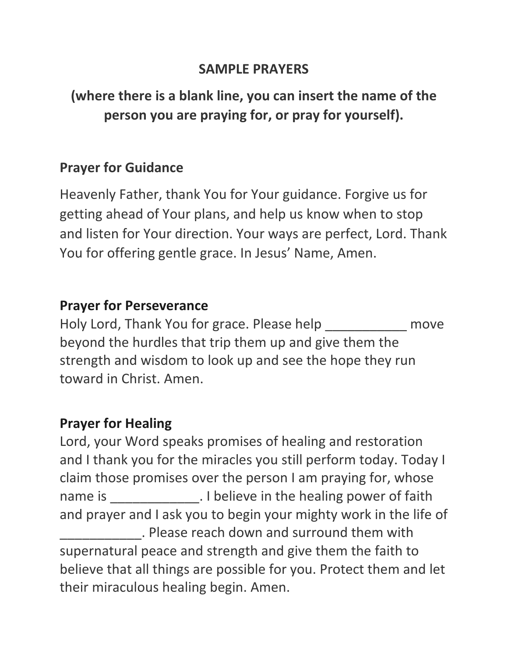### **SAMPLE PRAYERS**

**(where there is a blank line, you can insert the name of the person you are praying for, or pray for yourself).**

### **Prayer for Guidance**

Heavenly Father, thank You for Your guidance. Forgive us for getting ahead of Your plans, and help us know when to stop and listen for Your direction. Your ways are perfect, Lord. Thank You for offering gentle grace. In Jesus' Name, Amen.

#### **Prayer for Perseverance**

Holy Lord, Thank You for grace. Please help \_\_\_\_\_\_\_\_\_\_\_ move beyond the hurdles that trip them up and give them the strength and wisdom to look up and see the hope they run toward in Christ. Amen.

#### **Prayer for Healing**

Lord, your Word speaks promises of healing and restoration and I thank you for the miracles you still perform today. Today I claim those promises over the person I am praying for, whose name is Thelieve in the healing power of faith and prayer and I ask you to begin your mighty work in the life of \_\_\_\_\_\_\_\_\_\_\_. Please reach down and surround them with supernatural peace and strength and give them the faith to believe that all things are possible for you. Protect them and let their miraculous healing begin. Amen.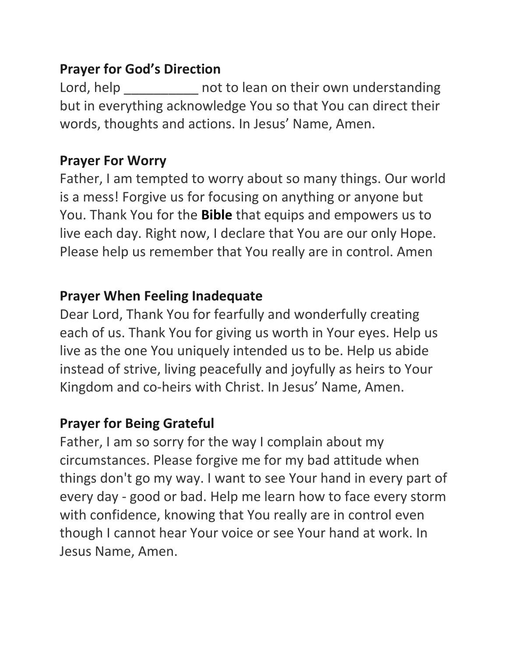# **Prayer for God's Direction**

Lord, help entity not to lean on their own understanding but in everything acknowledge You so that You can direct their words, thoughts and actions. In Jesus' Name, Amen.

## **Prayer For Worry**

Father, I am tempted to worry about so many things. Our world is a mess! Forgive us for focusing on anything or anyone but You. Thank You for the **[Bible](http://www.biblestudytools.com/)** that equips and empowers us to live each day. Right now, I declare that You are our only Hope. Please help us remember that You really are in control. Amen

### **Prayer When Feeling Inadequate**

Dear Lord, Thank You for fearfully and wonderfully creating each of us. Thank You for giving us worth in Your eyes. Help us live as the one You uniquely intended us to be. Help us abide instead of strive, living peacefully and joyfully as heirs to Your Kingdom and co-heirs with Christ. In Jesus' Name, Amen.

# **Prayer for Being Grateful**

Father, I am so sorry for the way I complain about my circumstances. Please forgive me for my bad attitude when things don't go my way. I want to see Your hand in every part of every day - good or bad. Help me learn how to face every storm with confidence, knowing that You really are in control even though I cannot hear Your voice or see Your hand at work. In Jesus Name, Amen.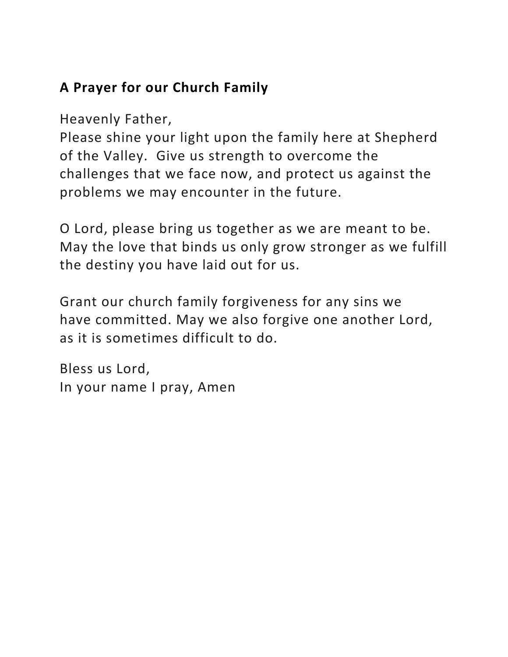# **A Prayer for our Church Family**

Heavenly Father,

Please shine your light upon the family here at Shepherd of the Valley. Give us strength to overcome the challenges that we face now, and protect us against the problems we may encounter in the future.

O Lord, please bring us together as we are meant to be. May the love that binds us only grow stronger as we fulfill the destiny you have laid out for us.

Grant our church family forgiveness for any sins we have committed. May we also forgive one another Lord, as it is sometimes difficult to do.

Bless us Lord, In your name I pray, Amen